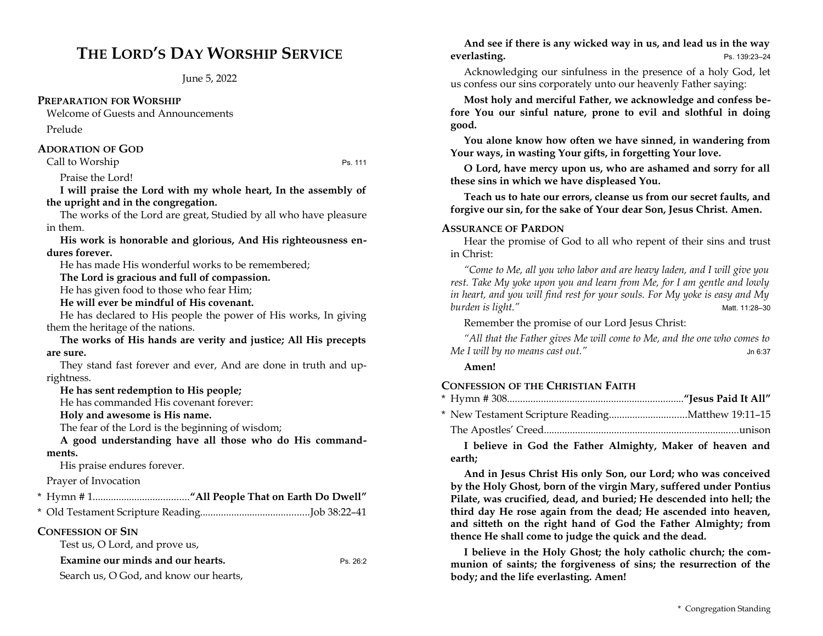# **THE LORD'S DAY WORSHIP SERVICE**

June 5, 2022

### **PREPARATION FOR WORSHIP**

Welcome of Guests and Announcements Prelude

### **ADORATION OF GOD**

Call to Worship Ps. 111

Praise the Lord!

**I will praise the Lord with my whole heart, In the assembly of the upright and in the congregation.** 

The works of the Lord are great, Studied by all who have pleasure in them.

**His work is honorable and glorious, And His righteousness endures forever.** 

He has made His wonderful works to be remembered;

**The Lord is gracious and full of compassion.** 

He has given food to those who fear Him;

**He will ever be mindful of His covenant.** 

He has declared to His people the power of His works, In giving them the heritage of the nations.

**The works of His hands are verity and justice; All His precepts are sure.** 

They stand fast forever and ever, And are done in truth and uprightness.

### **He has sent redemption to His people;**

He has commanded His covenant forever:

**Holy and awesome is His name.** 

The fear of the Lord is the beginning of wisdom;

**A good understanding have all those who do His commandments.** 

His praise endures forever.

Prayer of Invocation

\* Old Testament Scripture Reading..........................................Job 38:22–41

## **CONFESSION OF SIN**

Test us, O Lord, and prove us,

**Examine our minds and our hearts.** Ps. 26:2

Search us, O God, and know our hearts,

**And see if there is any wicked way in us, and lead us in the way everlasting.** Ps. 139:23-24

Acknowledging our sinfulness in the presence of a holy God, let us confess our sins corporately unto our heavenly Father saying:

**Most holy and merciful Father, we acknowledge and confess before You our sinful nature, prone to evil and slothful in doing good.** 

**You alone know how often we have sinned, in wandering from Your ways, in wasting Your gifts, in forgetting Your love.** 

**O Lord, have mercy upon us, who are ashamed and sorry for all these sins in which we have displeased You.** 

**Teach us to hate our errors, cleanse us from our secret faults, and forgive our sin, for the sake of Your dear Son, Jesus Christ. Amen.**

## **ASSURANCE OF PARDON**

Hear the promise of God to all who repent of their sins and trust in Christ:

*"Come to Me, all you who labor and are heavy laden, and I will give you rest. Take My yoke upon you and learn from Me, for I am gentle and lowly in heart, and you will find rest for your souls. For My yoke is easy and My burden is light."* Matt. 11:28–30

Remember the promise of our Lord Jesus Christ:

*"All that the Father gives Me will come to Me, and the one who comes to Me I will by no means cast out."* Jn 6:37

### **Amen!**

## **CONFESSION OF THE CHRISTIAN FAITH**

The Apostles' Creed...........................................................................unison

**I believe in God the Father Almighty, Maker of heaven and earth;** 

**And in Jesus Christ His only Son, our Lord; who was conceived by the Holy Ghost, born of the virgin Mary, suffered under Pontius Pilate, was crucified, dead, and buried; He descended into hell; the third day He rose again from the dead; He ascended into heaven, and sitteth on the right hand of God the Father Almighty; from thence He shall come to judge the quick and the dead.** 

**I believe in the Holy Ghost; the holy catholic church; the communion of saints; the forgiveness of sins; the resurrection of the body; and the life everlasting. Amen!**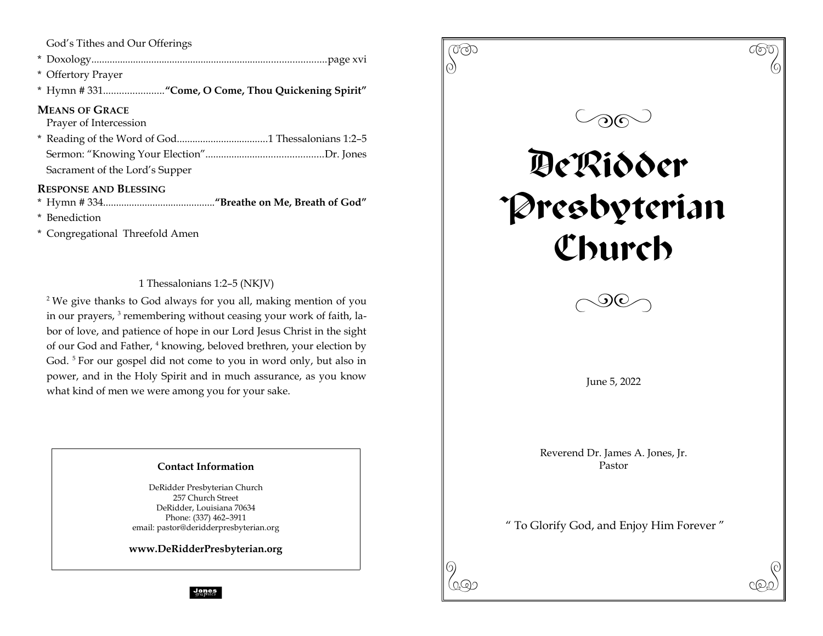God's Tithes and Our Offerings

- \* Doxology..........................................................................................page xvi
- \* Offertory Prayer
- \* Hymn # 331.......................**"Come, O Come, Thou Quickening Spirit"**

## **MEANS OF GRACE**

Prayer of Intercession

\* Reading of the Word of God...................................1 Thessalonians 1:2–5 Sermon: "Knowing Your Election".............................................Dr. Jones Sacrament of the Lord's Supper

## **RESPONSE AND BLESSING**

\* Hymn # 334...........................................**"Breathe on Me, Breath of God"**

- \* Benediction
- \* Congregational Threefold Amen

1 Thessalonians 1:2–5 (NKJV)

<sup>2</sup> We give thanks to God always for you all, making mention of you in our prayers, <sup>3</sup> remembering without ceasing your work of faith, labor of love, and patience of hope in our Lord Jesus Christ in the sight of our God and Father, <sup>4</sup> knowing, beloved brethren, your election by God.<sup>5</sup> For our gospel did not come to you in word only, but also in power, and in the Holy Spirit and in much assurance, as you know what kind of men we were among you for your sake.

## **Contact Information**

DeRidder Presbyterian Church 257 Church Street DeRidder, Louisiana 70634 Phone: (337) 462–3911 email: pastor@deridderpresbyterian.org

**www.DeRidderPresbyterian.org**



**Jones**<br>graphics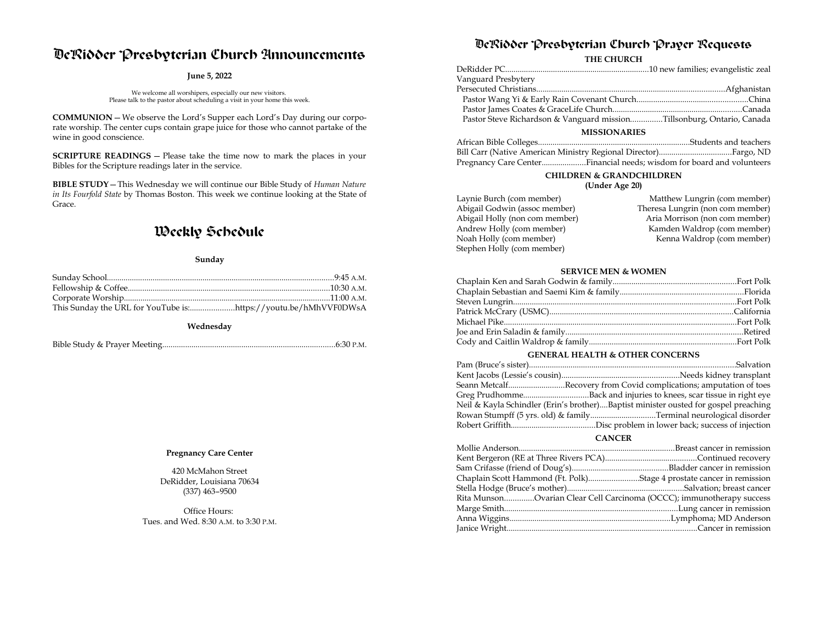# DeRidder Presbyterian Church Announcements

#### **June 5, 2022**

We welcome all worshipers, especially our new visitors. Please talk to the pastor about scheduling a visit in your home this week.

**COMMUNION**—We observe the Lord's Supper each Lord's Day during our corporate worship. The center cups contain grape juice for those who cannot partake of the wine in good conscience.

**SCRIPTURE READINGS** — Please take the time now to mark the places in your Bibles for the Scripture readings later in the service.

**BIBLE STUDY**—This Wednesday we will continue our Bible Study of *Human Nature in Its Fourfold State* by Thomas Boston. This week we continue looking at the State of Grace.

## Weekly Schedule

#### **Sunday**

**Wednesday**

Bible Study & Prayer Meeting...................................................................................6:30 P.M.

#### **Pregnancy Care Center**

420 McMahon Street DeRidder, Louisiana 70634 (337) 463–9500

Office Hours: Tues. and Wed. 8:30 A.M. to 3:30 P.M.

## DeRidder Presbyterian Church Prayer Requests

**THE CHURCH**

| Vanguard Presbytery                                                    |  |  |  |
|------------------------------------------------------------------------|--|--|--|
|                                                                        |  |  |  |
|                                                                        |  |  |  |
|                                                                        |  |  |  |
| Pastor Steve Richardson & Vanguard missionTillsonburg, Ontario, Canada |  |  |  |
| <b>MISSIONARIES</b>                                                    |  |  |  |

| Pregnancy Care CenterFinancial needs; wisdom for board and volunteers |
|-----------------------------------------------------------------------|

## **CHILDREN & GRANDCHILDREN**

#### **(Under Age 20)**

| Laynie Burch (com member)      | Matthew Lungrin (com member)     |
|--------------------------------|----------------------------------|
| Abigail Godwin (assoc member)  | Theresa Lungrin (non com member) |
| Abigail Holly (non com member) | Aria Morrison (non com member)   |
| Andrew Holly (com member)      | Kamden Waldrop (com member)      |
| Noah Holly (com member)        | Kenna Waldrop (com member)       |
| Stephen Holly (com member)     |                                  |

#### **SERVICE MEN & WOMEN**

#### **GENERAL HEALTH & OTHER CONCERNS**

| Seann MetcalfRecovery from Covid complications; amputation of toes                  |
|-------------------------------------------------------------------------------------|
|                                                                                     |
| Neil & Kayla Schindler (Erin's brother)Baptist minister ousted for gospel preaching |
|                                                                                     |
|                                                                                     |

#### **CANCER**

| Chaplain Scott Hammond (Ft. Polk)Stage 4 prostate cancer in remission |  |
|-----------------------------------------------------------------------|--|
|                                                                       |  |
| Rita MunsonOvarian Clear Cell Carcinoma (OCCC); immunotherapy success |  |
|                                                                       |  |
|                                                                       |  |
|                                                                       |  |